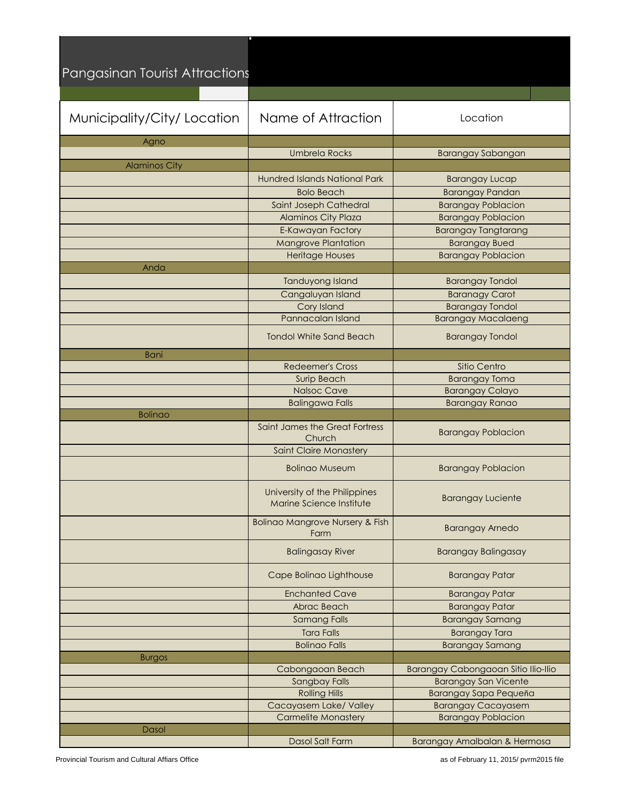| Pangasinan Tourist Attractions |                                                           |                                                      |
|--------------------------------|-----------------------------------------------------------|------------------------------------------------------|
| Municipality/City/Location     | Name of Attraction                                        | Location                                             |
| Agno                           |                                                           |                                                      |
|                                | <b>Umbrela Rocks</b>                                      | <b>Barangay Sabangan</b>                             |
| <b>Alaminos City</b>           |                                                           |                                                      |
|                                | <b>Hundred Islands National Park</b>                      | <b>Barangay Lucap</b>                                |
|                                | <b>Bolo Beach</b>                                         | <b>Barangay Pandan</b>                               |
|                                | Saint Joseph Cathedral                                    | <b>Barangay Poblacion</b>                            |
|                                | Alaminos City Plaza                                       | <b>Barangay Poblacion</b>                            |
|                                | E-Kawayan Factory                                         | <b>Barangay Tangtarang</b>                           |
|                                | <b>Mangrove Plantation</b>                                | <b>Barangay Bued</b>                                 |
|                                | <b>Heritage Houses</b>                                    | <b>Barangay Poblacion</b>                            |
| Anda                           |                                                           |                                                      |
|                                | Tanduyong Island                                          | <b>Barangay Tondol</b>                               |
|                                | Cangaluyan Island<br>Cory Island                          | <b>Baranagy Carot</b><br><b>Barangay Tondol</b>      |
|                                | Pannacalan Island                                         | <b>Barangay Macalaeng</b>                            |
|                                | <b>Tondol White Sand Beach</b>                            | <b>Barangay Tondol</b>                               |
|                                |                                                           |                                                      |
| <b>Bani</b>                    | <b>Redeemer's Cross</b>                                   | Sitio Centro                                         |
|                                | Surip Beach                                               | <b>Barangay Toma</b>                                 |
|                                | <b>Nalsoc Cave</b>                                        | <b>Barangay Colayo</b>                               |
|                                | <b>Balingawa Falls</b>                                    | <b>Barangay Ranao</b>                                |
| <b>Bolinao</b>                 |                                                           |                                                      |
|                                | Saint James the Great Fortress<br>Church                  | <b>Barangay Poblacion</b>                            |
|                                | <b>Saint Claire Monastery</b>                             |                                                      |
|                                | <b>Bolingo Museum</b>                                     | <b>Barangay Poblacion</b>                            |
|                                | University of the Philippines<br>Marine Science Institute | <b>Barangay Luciente</b>                             |
|                                | <b>Bolinao Mangrove Nursery &amp; Fish</b><br>Farm        | <b>Barangay Arnedo</b>                               |
|                                | <b>Balingasay River</b>                                   | <b>Barangay Balingasay</b>                           |
|                                | Cape Bolinao Lighthouse                                   | <b>Barangay Patar</b>                                |
|                                | <b>Enchanted Cave</b>                                     | <b>Barangay Patar</b>                                |
|                                | Abrac Beach                                               | <b>Barangay Patar</b>                                |
|                                | <b>Samang Falls</b>                                       | <b>Barangay Samang</b>                               |
|                                | <b>Tara Falls</b>                                         | <b>Barangay Tara</b>                                 |
|                                | <b>Bolinao Falls</b>                                      | <b>Barangay Samang</b>                               |
| <b>Burgos</b>                  |                                                           |                                                      |
|                                | Cabongaoan Beach                                          | Barangay Cabongaoan Sitio Ilio-Ilio                  |
|                                | Sangbay Falls<br><b>Rolling Hills</b>                     | <b>Barangay San Vicente</b><br>Barangay Sapa Pequeña |
|                                | Cacayasem Lake/ Valley                                    | <b>Barangay Cacayasem</b>                            |
|                                | <b>Carmelite Monastery</b>                                | <b>Barangay Poblacion</b>                            |
| Dasol                          |                                                           |                                                      |
|                                | Dasol Salt Farm                                           | Barangay Amalbalan & Hermosa                         |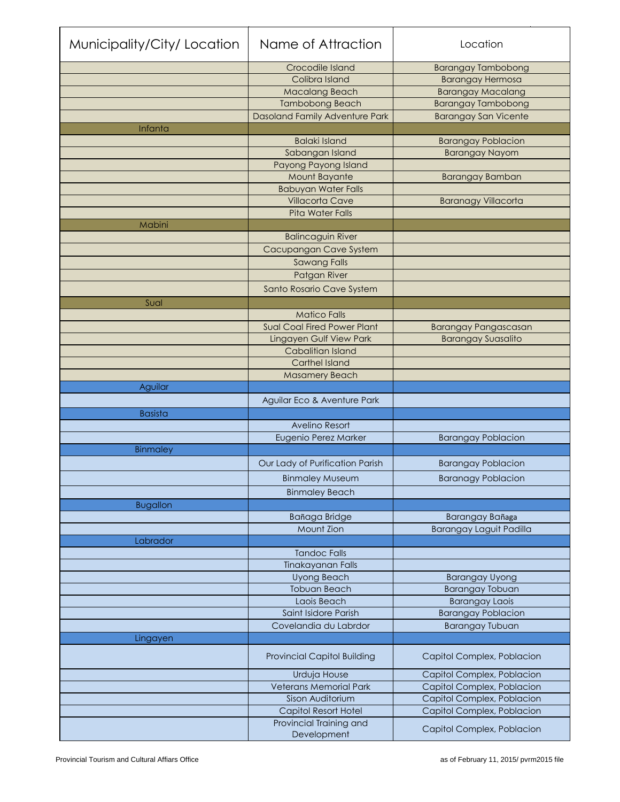| Municipality/City/Location | Name of Attraction                          | Location                       |
|----------------------------|---------------------------------------------|--------------------------------|
|                            | Crocodile Island                            | <b>Barangay Tambobong</b>      |
|                            | Colibra Island                              | <b>Barangay Hermosa</b>        |
|                            | Macalang Beach                              | <b>Barangay Macalang</b>       |
|                            | <b>Tambobong Beach</b>                      | <b>Barangay Tambobong</b>      |
|                            | Dasoland Family Adventure Park              | <b>Barangay San Vicente</b>    |
| Infanta                    |                                             |                                |
|                            | <b>Balaki Island</b>                        | <b>Barangay Poblacion</b>      |
|                            | Sabangan Island                             | <b>Barangay Nayom</b>          |
|                            | Payong Payong Island                        |                                |
|                            | Mount Bayante<br><b>Babuyan Water Falls</b> | <b>Barangay Bamban</b>         |
|                            | <b>Villacorta Cave</b>                      | <b>Baranagy Villacorta</b>     |
|                            | <b>Pita Water Falls</b>                     |                                |
| Mabini                     |                                             |                                |
|                            | <b>Balincaguin River</b>                    |                                |
|                            | Cacupangan Cave System                      |                                |
|                            | <b>Sawang Falls</b>                         |                                |
|                            | Patgan River                                |                                |
|                            | Santo Rosario Cave System                   |                                |
| Sual                       |                                             |                                |
|                            | <b>Matico Falls</b>                         |                                |
|                            | <b>Sual Coal Fired Power Plant</b>          | <b>Barangay Pangascasan</b>    |
|                            | Lingayen Gulf View Park                     | <b>Barangay Suasalito</b>      |
|                            | Cabalitian Island                           |                                |
|                            | <b>Carthel Island</b>                       |                                |
|                            | <b>Masamery Beach</b>                       |                                |
| Aguilar                    |                                             |                                |
|                            | Aguilar Eco & Aventure Park                 |                                |
| <b>Basista</b>             |                                             |                                |
|                            | Avelino Resort                              |                                |
|                            | Eugenio Perez Marker                        | <b>Barangay Poblacion</b>      |
| Binmaley                   |                                             |                                |
|                            | Our Lady of Purification Parish             | <b>Barangay Poblacion</b>      |
|                            | <b>Binmaley Museum</b>                      | <b>Baranagy Poblacion</b>      |
|                            | <b>Binmaley Beach</b>                       |                                |
| <b>Bugallon</b>            |                                             |                                |
|                            | Bañaga Bridge                               | Barangay Bañaga                |
|                            | Mount Zion                                  | <b>Barangay Laguit Padilla</b> |
| Labrador                   |                                             |                                |
|                            | <b>Tandoc Falls</b>                         |                                |
|                            | Tinakayanan Falls                           |                                |
|                            | <b>Uyong Beach</b>                          | <b>Barangay Uyong</b>          |
|                            | <b>Tobuan Beach</b>                         | <b>Barangay Tobuan</b>         |
|                            | Laois Beach                                 | <b>Barangay Laois</b>          |
|                            | Saint Isidore Parish                        | <b>Barangay Poblacion</b>      |
|                            | Covelandia du Labrdor                       | <b>Barangay Tubuan</b>         |
| Lingayen                   | <b>Provincial Capitol Building</b>          | Capitol Complex, Poblacion     |
|                            | Urduja House                                | Capitol Complex, Poblacion     |
|                            | <b>Veterans Memorial Park</b>               | Capitol Complex, Poblacion     |
|                            | Sison Auditorium                            | Capitol Complex, Poblacion     |
|                            | <b>Capitol Resort Hotel</b>                 | Capitol Complex, Poblacion     |
|                            | Provincial Training and                     | Capitol Complex, Poblacion     |
|                            |                                             |                                |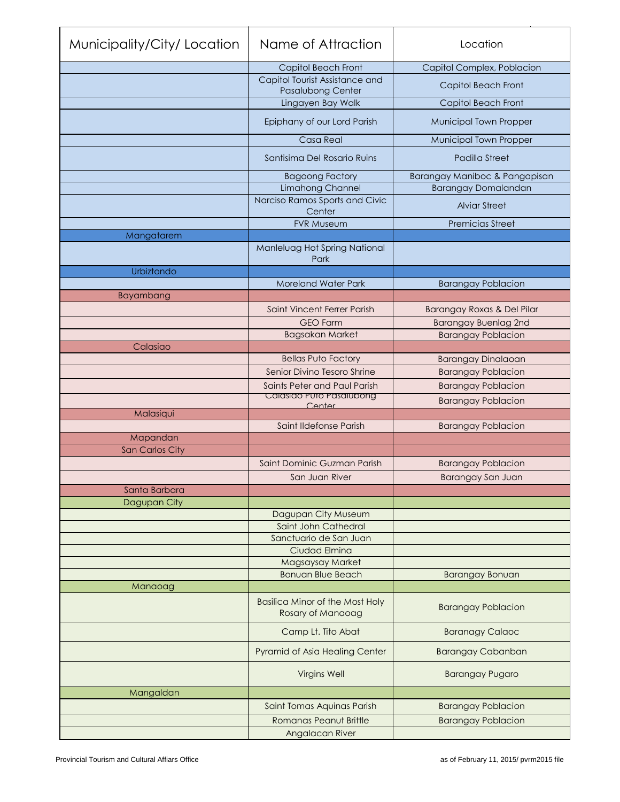| Municipality/City/Location         | Name of Attraction                                          | Location                      |
|------------------------------------|-------------------------------------------------------------|-------------------------------|
|                                    | Capitol Beach Front                                         | Capitol Complex, Poblacion    |
|                                    | Capitol Tourist Assistance and<br>Pasalubong Center         | Capitol Beach Front           |
|                                    | Lingayen Bay Walk                                           | Capitol Beach Front           |
|                                    | Epiphany of our Lord Parish                                 | Municipal Town Propper        |
|                                    | Casa Real                                                   | Municipal Town Propper        |
|                                    | Santisima Del Rosario Ruins                                 | Padilla Street                |
|                                    | <b>Bagoong Factory</b>                                      | Barangay Maniboc & Pangapisan |
|                                    | Limahong Channel                                            | <b>Barangay Domalandan</b>    |
|                                    | Narciso Ramos Sports and Civic<br>Center                    | <b>Alviar Street</b>          |
|                                    | <b>FVR Museum</b>                                           | <b>Premicias Street</b>       |
| Mangatarem                         |                                                             |                               |
|                                    | Manleluag Hot Spring National<br>Park                       |                               |
| Urbiztondo                         |                                                             |                               |
|                                    | <b>Moreland Water Park</b>                                  | <b>Barangay Poblacion</b>     |
| Bayambang                          |                                                             |                               |
|                                    | Saint Vincent Ferrer Parish                                 | Barangay Roxas & Del Pilar    |
|                                    | <b>GEO Farm</b>                                             | <b>Barangay Buenlag 2nd</b>   |
|                                    | <b>Bagsakan Market</b>                                      | <b>Barangay Poblacion</b>     |
| Calasiao                           |                                                             |                               |
|                                    | <b>Bellas Puto Factory</b><br>Senior Divino Tesoro Shrine   | <b>Barangay Dinalaoan</b>     |
|                                    |                                                             | <b>Barangay Poblacion</b>     |
|                                    | Saints Peter and Paul Parish<br>Calasido Puto Pasalubong    | <b>Barangay Poblacion</b>     |
|                                    | Center                                                      | <b>Barangay Poblacion</b>     |
| Malasiqui                          |                                                             |                               |
|                                    | Saint Ildefonse Parish                                      | <b>Barangay Poblacion</b>     |
| Mapandan<br><b>San Carlos City</b> |                                                             |                               |
|                                    | Saint Dominic Guzman Parish                                 | <b>Barangay Poblacion</b>     |
|                                    | San Juan River                                              |                               |
| Santa Barbara                      |                                                             | Barangay San Juan             |
| Dagupan City                       |                                                             |                               |
|                                    | Dagupan City Museum                                         |                               |
|                                    | Saint John Cathedral                                        |                               |
|                                    | Sanctuario de San Juan                                      |                               |
|                                    | Ciudad Elmina                                               |                               |
|                                    | Magsaysay Market                                            |                               |
|                                    | <b>Bonuan Blue Beach</b>                                    | <b>Barangay Bonuan</b>        |
| Manaoag                            |                                                             |                               |
|                                    | <b>Basilica Minor of the Most Holy</b><br>Rosary of Manaoag | <b>Barangay Poblacion</b>     |
|                                    | Camp Lt. Tito Abat                                          | <b>Baranagy Calaoc</b>        |
|                                    | Pyramid of Asia Healing Center                              | <b>Barangay Cabanban</b>      |
|                                    | <b>Virgins Well</b>                                         | <b>Barangay Pugaro</b>        |
| Mangaldan                          |                                                             |                               |
|                                    | Saint Tomas Aquinas Parish                                  | <b>Barangay Poblacion</b>     |
|                                    | <b>Romanas Peanut Brittle</b>                               | <b>Barangay Poblacion</b>     |
|                                    | Angalacan River                                             |                               |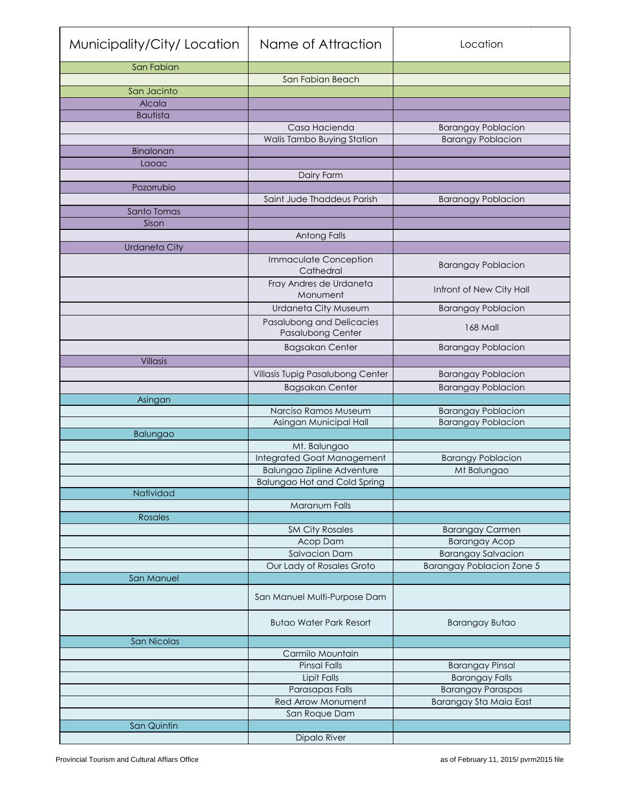| Municipality/City/Location | Name of Attraction                        | Location                         |
|----------------------------|-------------------------------------------|----------------------------------|
| San Fabian                 |                                           |                                  |
|                            | San Fabian Beach                          |                                  |
| San Jacinto                |                                           |                                  |
| Alcala                     |                                           |                                  |
| <b>Bautista</b>            |                                           |                                  |
|                            | Casa Hacienda                             | <b>Barangay Poblacion</b>        |
|                            | Walis Tambo Buying Station                | <b>Barangy Poblacion</b>         |
| Binalonan<br>Laoac         |                                           |                                  |
|                            | Dairy Farm                                |                                  |
| Pozorrubio                 |                                           |                                  |
|                            | Saint Jude Thaddeus Parish                | <b>Baranagy Poblacion</b>        |
| Santo Tomas                |                                           |                                  |
| Sison                      |                                           |                                  |
|                            | Antong Falls                              |                                  |
| <b>Urdaneta City</b>       |                                           |                                  |
|                            | <b>Immaculate Conception</b><br>Cathedral | <b>Barangay Poblacion</b>        |
|                            | Fray Andres de Urdaneta<br>Monument       | Infront of New City Hall         |
|                            | Urdaneta City Museum                      | <b>Barangay Poblacion</b>        |
|                            | Pasalubong and Delicacies                 |                                  |
|                            | Pasalubong Center                         | 168 Mall                         |
|                            | <b>Bagsakan Center</b>                    | <b>Barangay Poblacion</b>        |
| <b>Villasis</b>            |                                           |                                  |
|                            | Villasis Tupig Pasalubong Center          | <b>Barangay Poblacion</b>        |
|                            | <b>Bagsakan Center</b>                    | <b>Barangay Poblacion</b>        |
| Asingan                    |                                           |                                  |
|                            | Narciso Ramos Museum                      | <b>Barangay Poblacion</b>        |
| Balungao                   | Asingan Municipal Hall                    | <b>Barangay Poblacion</b>        |
|                            | Mt. Balungao                              |                                  |
|                            | Integrated Goat Management                | <b>Barangy Poblacion</b>         |
|                            | <b>Balungao Zipline Adventure</b>         | Mt Balungao                      |
|                            | <b>Balungao Hot and Cold Spring</b>       |                                  |
| Natividad                  |                                           |                                  |
|                            | Maranum Falls                             |                                  |
| <b>Rosales</b>             |                                           |                                  |
|                            | <b>SM City Rosales</b>                    | <b>Barangay Carmen</b>           |
|                            | Acop Dam                                  | <b>Barangay Acop</b>             |
|                            | <b>Salvacion Dam</b>                      | <b>Barangay Salvacion</b>        |
|                            | Our Lady of Rosales Groto                 | <b>Barangay Poblacion Zone 5</b> |
| San Manuel                 |                                           |                                  |
|                            | San Manuel Multi-Purpose Dam              |                                  |
|                            | <b>Butao Water Park Resort</b>            | <b>Barangay Butao</b>            |
| San Nicolas                |                                           |                                  |
|                            | Carmilo Mountain                          |                                  |
|                            | <b>Pinsal Falls</b>                       | <b>Barangay Pinsal</b>           |
|                            | Lipit Falls                               | <b>Barangay Falls</b>            |
|                            | Parasapas Falls                           | <b>Barangay Paraspas</b>         |
|                            | Red Arrow Monument                        | Barangay Sta Maia East           |
|                            | San Roque Dam                             |                                  |
| San Quintin                |                                           |                                  |
|                            | <b>Dipalo River</b>                       |                                  |